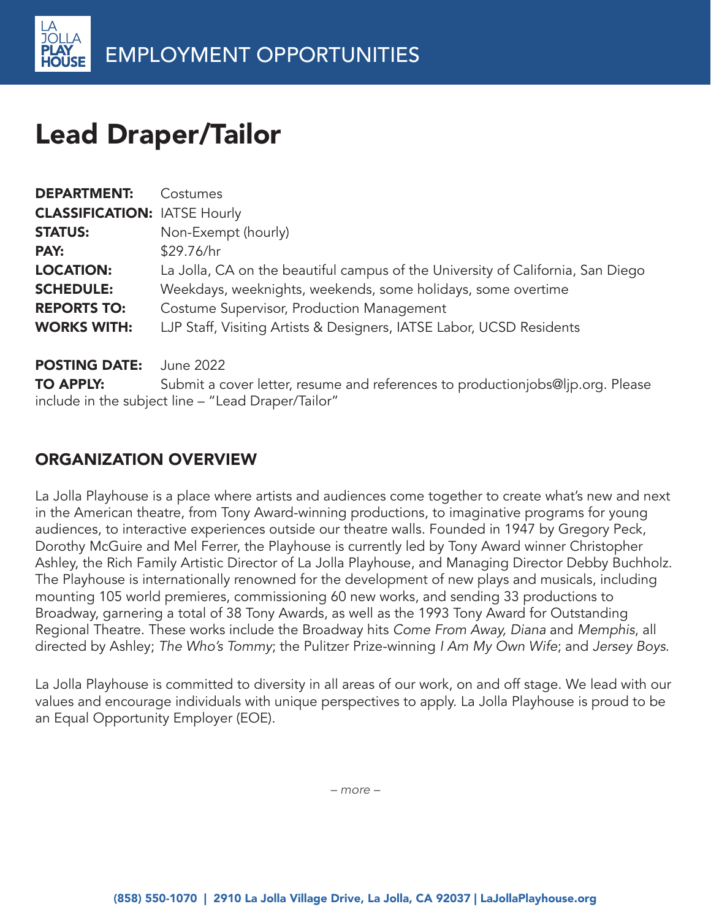

# Lead Draper/Tailor

| <b>DEPARTMENT:</b>                  | Costumes                                                                                                                             |
|-------------------------------------|--------------------------------------------------------------------------------------------------------------------------------------|
| <b>CLASSIFICATION: IATSE Hourly</b> |                                                                                                                                      |
| <b>STATUS:</b>                      | Non-Exempt (hourly)                                                                                                                  |
| PAY:                                | \$29.76/hr                                                                                                                           |
| <b>LOCATION:</b>                    | La Jolla, CA on the beautiful campus of the University of California, San Diego                                                      |
| <b>SCHEDULE:</b>                    | Weekdays, weeknights, weekends, some holidays, some overtime                                                                         |
| <b>REPORTS TO:</b>                  | Costume Supervisor, Production Management                                                                                            |
| <b>WORKS WITH:</b>                  | LJP Staff, Visiting Artists & Designers, IATSE Labor, UCSD Residents                                                                 |
| <b>POSTING DATE:</b>                | June 2022                                                                                                                            |
| <b>TO APPLY:</b>                    | Submit a cover letter, resume and references to productionjobs@ljp.org. Please<br>include in the subject line - "Lead Draper/Tailor" |

#### ORGANIZATION OVERVIEW

La Jolla Playhouse is a place where artists and audiences come together to create what's new and next in the American theatre, from Tony Award-winning productions, to imaginative programs for young audiences, to interactive experiences outside our theatre walls. Founded in 1947 by Gregory Peck, Dorothy McGuire and Mel Ferrer, the Playhouse is currently led by Tony Award winner Christopher Ashley, the Rich Family Artistic Director of La Jolla Playhouse, and Managing Director Debby Buchholz. The Playhouse is internationally renowned for the development of new plays and musicals, including mounting 105 world premieres, commissioning 60 new works, and sending 33 productions to Broadway, garnering a total of 38 Tony Awards, as well as the 1993 Tony Award for Outstanding Regional Theatre. These works include the Broadway hits Come From Away, Diana and Memphis, all directed by Ashley; The Who's Tommy; the Pulitzer Prize-winning I Am My Own Wife; and Jersey Boys.

La Jolla Playhouse is committed to diversity in all areas of our work, on and off stage. We lead with our values and encourage individuals with unique perspectives to apply. La Jolla Playhouse is proud to be an Equal Opportunity Employer (EOE).

*– more –*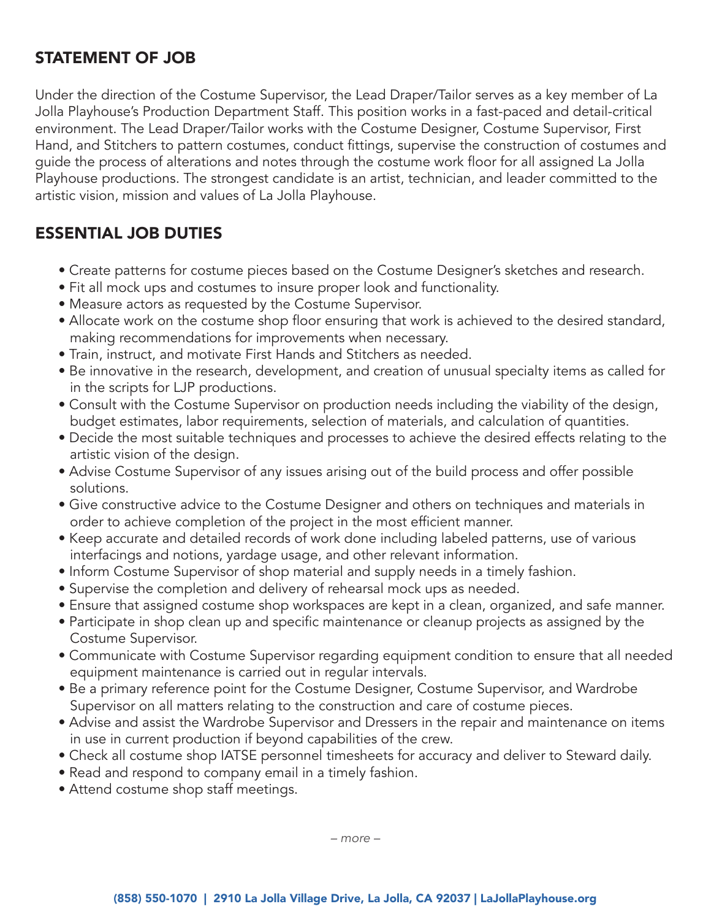#### STATEMENT OF JOB

Under the direction of the Costume Supervisor, the Lead Draper/Tailor serves as a key member of La Jolla Playhouse's Production Department Staff. This position works in a fast-paced and detail-critical environment. The Lead Draper/Tailor works with the Costume Designer, Costume Supervisor, First Hand, and Stitchers to pattern costumes, conduct fittings, supervise the construction of costumes and guide the process of alterations and notes through the costume work floor for all assigned La Jolla Playhouse productions. The strongest candidate is an artist, technician, and leader committed to the artistic vision, mission and values of La Jolla Playhouse.

### ESSENTIAL JOB DUTIES

- Create patterns for costume pieces based on the Costume Designer's sketches and research.
- Fit all mock ups and costumes to insure proper look and functionality.
- Measure actors as requested by the Costume Supervisor.
- Allocate work on the costume shop floor ensuring that work is achieved to the desired standard, making recommendations for improvements when necessary.
- Train, instruct, and motivate First Hands and Stitchers as needed.
- Be innovative in the research, development, and creation of unusual specialty items as called for in the scripts for LJP productions.
- Consult with the Costume Supervisor on production needs including the viability of the design, budget estimates, labor requirements, selection of materials, and calculation of quantities.
- Decide the most suitable techniques and processes to achieve the desired effects relating to the artistic vision of the design.
- Advise Costume Supervisor of any issues arising out of the build process and offer possible solutions.
- Give constructive advice to the Costume Designer and others on techniques and materials in order to achieve completion of the project in the most efficient manner.
- Keep accurate and detailed records of work done including labeled patterns, use of various interfacings and notions, yardage usage, and other relevant information.
- Inform Costume Supervisor of shop material and supply needs in a timely fashion.
- Supervise the completion and delivery of rehearsal mock ups as needed.
- Ensure that assigned costume shop workspaces are kept in a clean, organized, and safe manner.
- Participate in shop clean up and specific maintenance or cleanup projects as assigned by the Costume Supervisor.
- Communicate with Costume Supervisor regarding equipment condition to ensure that all needed equipment maintenance is carried out in regular intervals.
- Be a primary reference point for the Costume Designer, Costume Supervisor, and Wardrobe Supervisor on all matters relating to the construction and care of costume pieces.
- Advise and assist the Wardrobe Supervisor and Dressers in the repair and maintenance on items in use in current production if beyond capabilities of the crew.
- Check all costume shop IATSE personnel timesheets for accuracy and deliver to Steward daily.
- Read and respond to company email in a timely fashion.
- Attend costume shop staff meetings.

*– more –*